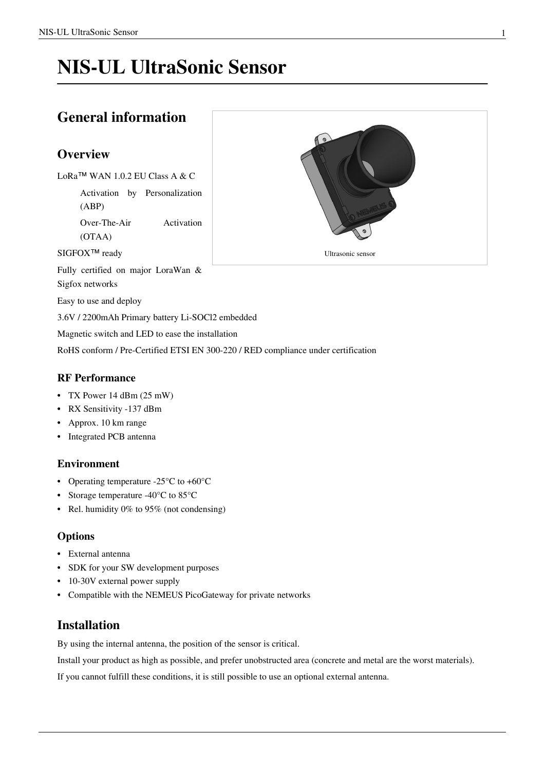# **NIS-UL UltraSonic Sensor**

## **General information**

## **Overview**

LoRa™ WAN 1.0.2 EU Class A & C

Activation by Personalization (ABP)

Over-The-Air Activation (OTAA)

SIGFOX<sup>™</sup> ready

Fully certified on major LoraWan & Sigfox networks

Easy to use and deploy

3.6V / 2200mAh Primary battery Li-SOCl2 embedded

Magnetic switch and LED to ease the installation

RoHS conform / Pre-Certified ETSI EN 300-220 / RED compliance under certification

## **RF Performance**

- TX Power 14 dBm (25 mW)
- RX Sensitivity -137 dBm
- Approx. 10 km range
- Integrated PCB antenna

## **Environment**

- Operating temperature -25°C to +60°C
- Storage temperature -40°C to 85°C
- Rel. humidity 0% to 95% (not condensing)

## **Options**

- External antenna
- SDK for your SW development purposes
- 10-30V external power supply
- Compatible with the NEMEUS PicoGateway for private networks

## **Installation**

By using the internal antenna, the position of the sensor is critical.

Install your product as high as possible, and prefer unobstructed area (concrete and metal are the worst materials).

If you cannot fulfill these conditions, it is still possible to use an optional external antenna.

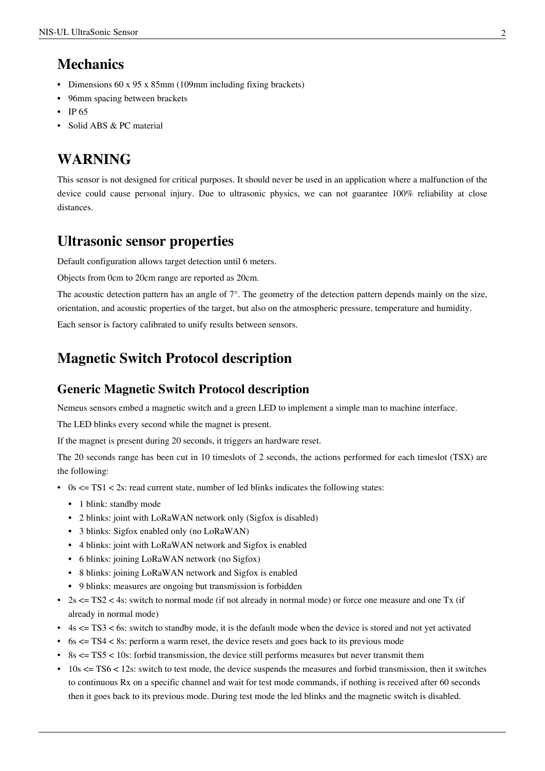# **Mechanics**

- Dimensions 60 x 95 x 85mm (109mm including fixing brackets)
- 96mm spacing between brackets
- IP 65
- Solid ABS & PC material

# **WARNING**

This sensor is not designed for critical purposes. It should never be used in an application where a malfunction of the device could cause personal injury. Due to ultrasonic physics, we can not guarantee 100% reliability at close distances.

## **Ultrasonic sensor properties**

Default configuration allows target detection until 6 meters.

Objects from 0cm to 20cm range are reported as 20cm.

The acoustic detection pattern has an angle of 7°. The geometry of the detection pattern depends mainly on the size, orientation, and acoustic properties of the target, but also on the atmospheric pressure, temperature and humidity.

Each sensor is factory calibrated to unify results between sensors.

## **Magnetic Switch Protocol description**

## **Generic Magnetic Switch Protocol description**

Nemeus sensors embed a magnetic switch and a green LED to implement a simple man to machine interface.

The LED blinks every second while the magnet is present.

If the magnet is present during 20 seconds, it triggers an hardware reset.

The 20 seconds range has been cut in 10 timeslots of 2 seconds, the actions performed for each timeslot (TSX) are the following:

- 0s  $\leq$  TS1  $\leq$  2s: read current state, number of led blinks indicates the following states:
	- 1 blink: standby mode
	- 2 blinks: joint with LoRaWAN network only (Sigfox is disabled)
	- 3 blinks: Sigfox enabled only (no LoRaWAN)
	- 4 blinks: joint with LoRaWAN network and Sigfox is enabled
	- 6 blinks: joining LoRaWAN network (no Sigfox)
	- 8 blinks: joining LoRaWAN network and Sigfox is enabled
	- 9 blinks: measures are ongoing but transmission is forbidden
- 2s  $\leq$  TS2  $\leq$  4s: switch to normal mode (if not already in normal mode) or force one measure and one Tx (if already in normal mode)
- $\cdot$  4s  $\leq$  TS3  $\leq$  6s: switch to standby mode, it is the default mode when the device is stored and not yet activated
- $\bullet$  6s  $\leq$  TS4  $\lt$  8s: perform a warm reset, the device resets and goes back to its previous mode
- 8s <= TS5 < 10s: forbid transmission, the device still performs measures but never transmit them
- $\cdot$  10s  $\le$  TS6  $\le$  12s: switch to test mode, the device suspends the measures and forbid transmission, then it switches to continuous Rx on a specific channel and wait for test mode commands, if nothing is received after 60 seconds then it goes back to its previous mode. During test mode the led blinks and the magnetic switch is disabled.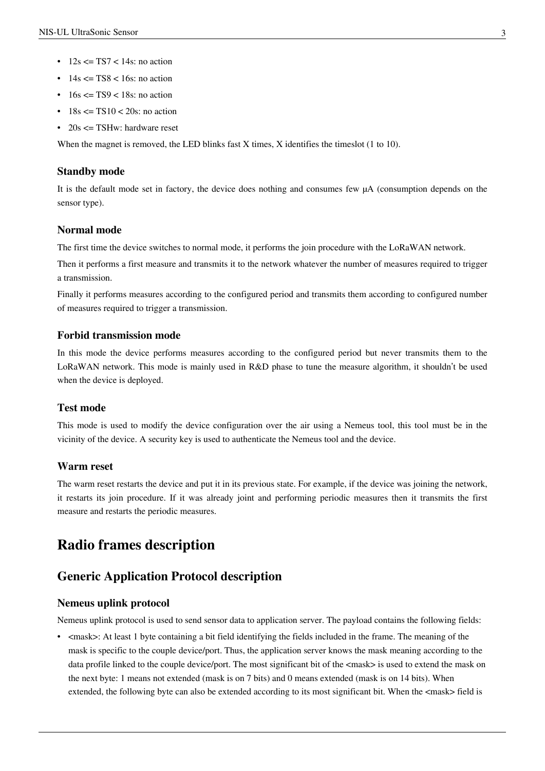- $12s \leq TST < 14s$ : no action
- $\cdot$  14s  $\leq$  TS8  $\leq$  16s; no action
- $\cdot$  16s  $\leq$  TS9  $\leq$  18s: no action
- $18s \leq TST0 \leq 20s$ : no action
- 20s  $\leq$  TSHw: hardware reset

When the magnet is removed, the LED blinks fast X times, X identifies the timeslot (1 to 10).

#### **Standby mode**

It is the default mode set in factory, the device does nothing and consumes few µA (consumption depends on the sensor type).

### **Normal mode**

The first time the device switches to normal mode, it performs the join procedure with the LoRaWAN network.

Then it performs a first measure and transmits it to the network whatever the number of measures required to trigger a transmission.

Finally it performs measures according to the configured period and transmits them according to configured number of measures required to trigger a transmission.

## **Forbid transmission mode**

In this mode the device performs measures according to the configured period but never transmits them to the LoRaWAN network. This mode is mainly used in R&D phase to tune the measure algorithm, it shouldn't be used when the device is deployed.

## **Test mode**

This mode is used to modify the device configuration over the air using a Nemeus tool, this tool must be in the vicinity of the device. A security key is used to authenticate the Nemeus tool and the device.

## **Warm reset**

The warm reset restarts the device and put it in its previous state. For example, if the device was joining the network, it restarts its join procedure. If it was already joint and performing periodic measures then it transmits the first measure and restarts the periodic measures.

## **Radio frames description**

## **Generic Application Protocol description**

## **Nemeus uplink protocol**

Nemeus uplink protocol is used to send sensor data to application server. The payload contains the following fields:

• <mask>: At least 1 byte containing a bit field identifying the fields included in the frame. The meaning of the mask is specific to the couple device/port. Thus, the application server knows the mask meaning according to the data profile linked to the couple device/port. The most significant bit of the <mask> is used to extend the mask on the next byte: 1 means not extended (mask is on 7 bits) and 0 means extended (mask is on 14 bits). When extended, the following byte can also be extended according to its most significant bit. When the  $\langle$ mask> field is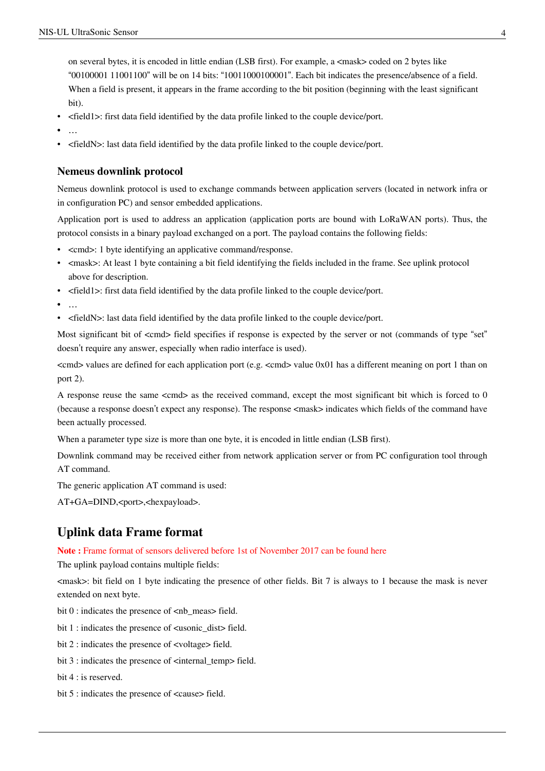on several bytes, it is encoded in little endian (LSB first). For example, a  $\langle$  mask> coded on 2 bytes like "00100001 11001100" will be on 14 bits: "10011000100001". Each bit indicates the presence/absence of a field. When a field is present, it appears in the frame according to the bit position (beginning with the least significant bit).

- <field1>: first data field identified by the data profile linked to the couple device/port.
- …
- <fieldN>: last data field identified by the data profile linked to the couple device/port.

### **Nemeus downlink protocol**

Nemeus downlink protocol is used to exchange commands between application servers (located in network infra or in configuration PC) and sensor embedded applications.

Application port is used to address an application (application ports are bound with LoRaWAN ports). Thus, the protocol consists in a binary payload exchanged on a port. The payload contains the following fields:

- <cmd>: 1 byte identifying an applicative command/response.
- <mask>: At least 1 byte containing a bit field identifying the fields included in the frame. See uplink protocol above for description.
- <field1>: first data field identified by the data profile linked to the couple device/port.
- …
- <fieldN>: last data field identified by the data profile linked to the couple device/port.

Most significant bit of  $\ll$ cmd> field specifies if response is expected by the server or not (commands of type "set" doesn't require any answer, especially when radio interface is used).

 $\ll$ cmd $>$  values are defined for each application port (e.g.  $\ll$ cmd $>$  value 0x01 has a different meaning on port 1 than on port 2).

A response reuse the same <cmd> as the received command, except the most significant bit which is forced to 0 (because a response doesn't expect any response). The response <mask> indicates which fields of the command have been actually processed.

When a parameter type size is more than one byte, it is encoded in little endian (LSB first).

Downlink command may be received either from network application server or from PC configuration tool through AT command.

The generic application AT command is used:

AT+GA=DIND,<port>,<hexpayload>.

## **Uplink data Frame format**

**Note :** Frame format of sensors delivered before 1st of November 2017 can be found [here](http://wiki.nemeus.fr/index.php?title=NIS-UL_UltraSonic_Sensor_-_Frame_Format_v0.x)

The uplink payload contains multiple fields:

<mask>: bit field on 1 byte indicating the presence of other fields. Bit 7 is always to 1 because the mask is never extended on next byte.

bit  $0$  : indicates the presence of  $\langle$ nb\_meas> field.

bit 1 : indicates the presence of <usonic\_dist> field.

bit 2 : indicates the presence of <voltage> field.

bit 3 : indicates the presence of <internal\_temp> field.

bit 4 : is reserved.

bit 5 : indicates the presence of <cause> field.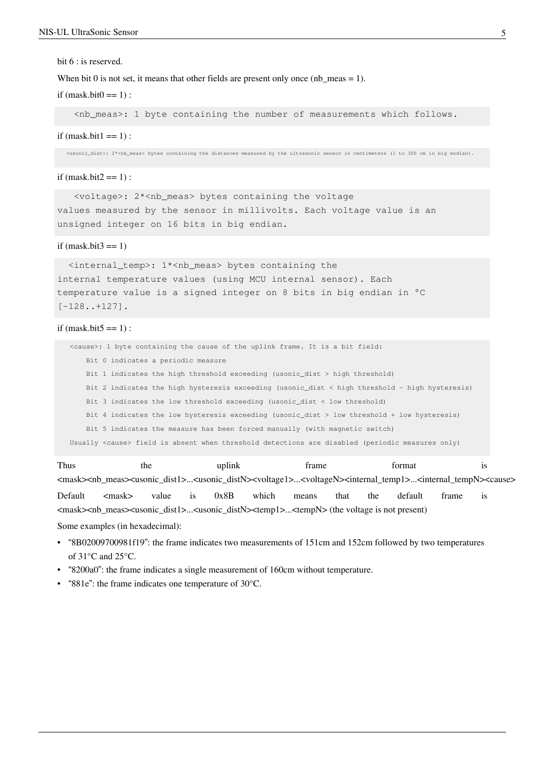#### bit  $6$  : is reserved.

When bit 0 is not set, it means that other fields are present only once (nb meas = 1).

if  $(mask.bit0 == 1)$ :

<nb\_meas>: 1 byte containing the number of measurements which follows.

if  $(mask.bit1 == 1)$ :

<usonic\_dist>: 2\*<nb\_meas> bytes containing the distances measured by the ultrasonic sensor in centimeters (1 to 300 cm in big endian).

#### if  $(mask.bit2 == 1)$ :

 <voltage>: 2\*<nb\_meas> bytes containing the voltage values measured by the sensor in millivolts. Each voltage value is an unsigned integer on 16 bits in big endian.

#### if  $(mask.bit3 == 1)$

 <internal\_temp>: 1\*<nb\_meas> bytes containing the internal temperature values (using MCU internal sensor). Each temperature value is a signed integer on 8 bits in big endian in °C [-128..+127].

#### if  $(mask.bit5 == 1)$ :

 <cause>: 1 byte containing the cause of the uplink frame. It is a bit field: Bit 0 indicates a periodic measure Bit 1 indicates the high threshold exceeding (usonic\_dist > high threshold) Bit 2 indicates the high hysteresis exceeding (usonic\_dist < high threshold - high hysteresis) Bit 3 indicates the low threshold exceeding (usonic\_dist < low threshold) Bit 4 indicates the low hysteresis exceeding (usonic\_dist > low threshold + low hysteresis) Bit 5 indicates the measure has been forced manually (with magnetic switch) Usually <cause> field is absent when threshold detections are disabled (periodic measures only)

Thus the uplink frame format is <mask><nb\_meas><usonic\_dist1>...<usonic\_distN><voltage1>...<voltageN><internal\_temp1>...<internal\_tempN><cause> Default <mask> value is 0x8B which means that the default frame is <mask><nb\_meas><usonic\_dist1>...<usonic\_distN><temp1>...<tempN> (the voltage is not present) Some examples (in hexadecimal):

- "8B02009700981f19": the frame indicates two measurements of 151cm and 152cm followed by two temperatures of 31°C and 25°C.
- "8200a0": the frame indicates a single measurement of 160cm without temperature.
- "881e": the frame indicates one temperature of 30°C.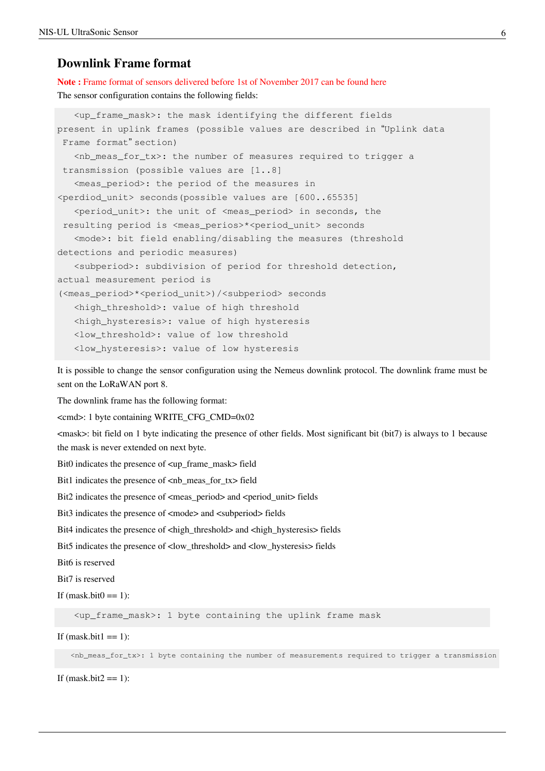## **Downlink Frame format**

**Note :** Frame format of sensors delivered before 1st of November 2017 can be found [here](http://wiki.nemeus.fr/index.php?title=NIS-UL_UltraSonic_Sensor_-_Frame_Format_v0.x) The sensor configuration contains the following fields:

```
 <up_frame_mask>: the mask identifying the different fields 
present in uplink frames (possible values are described in "Uplink data
 Frame format" section)
   \langlenb meas for tx>: the number of measures required to trigger a
 transmission (possible values are [1..8]
    <meas_period>: the period of the measures in 
<perdiod_unit> seconds(possible values are [600..65535]
    <period_unit>: the unit of <meas_period> in seconds, the
 resulting period is <meas_perios>*<period_unit> seconds
    <mode>: bit field enabling/disabling the measures (threshold 
detections and periodic measures)
    <subperiod>: subdivision of period for threshold detection, 
actual measurement period is 
(<meas_period>*<period_unit>)/<subperiod> seconds
    <high_threshold>: value of high threshold
    <high_hysteresis>: value of high hysteresis
    <low_threshold>: value of low threshold
    <low_hysteresis>: value of low hysteresis
```
It is possible to change the sensor configuration using the Nemeus downlink protocol. The downlink frame must be sent on the LoRaWAN port 8.

The downlink frame has the following format:

<cmd>: 1 byte containing WRITE\_CFG\_CMD=0x02

<mask>: bit field on 1 byte indicating the presence of other fields. Most significant bit (bit7) is always to 1 because the mask is never extended on next byte.

Bit0 indicates the presence of <up\_frame\_mask> field

Bit1 indicates the presence of <nb\_meas\_for\_tx> field

Bit2 indicates the presence of <meas\_period> and <period\_unit> fields

Bit3 indicates the presence of  $\langle$  mode> and  $\langle$  subperiod> fields

Bit4 indicates the presence of  $\langle$ high\_threshold> and  $\langle$ high\_hysteresis> fields

Bit5 indicates the presence of <low\_threshold> and <low\_hysteresis> fields

Bit6 is reserved

Bit7 is reserved

If  $(mask.bit0 == 1)$ :

<up\_frame\_mask>: 1 byte containing the uplink frame mask

If (mask.bit $1 == 1$ ):

<nb\_meas\_for\_tx>: 1 byte containing the number of measurements required to trigger a transmission

If (mask.bit $2 == 1$ ):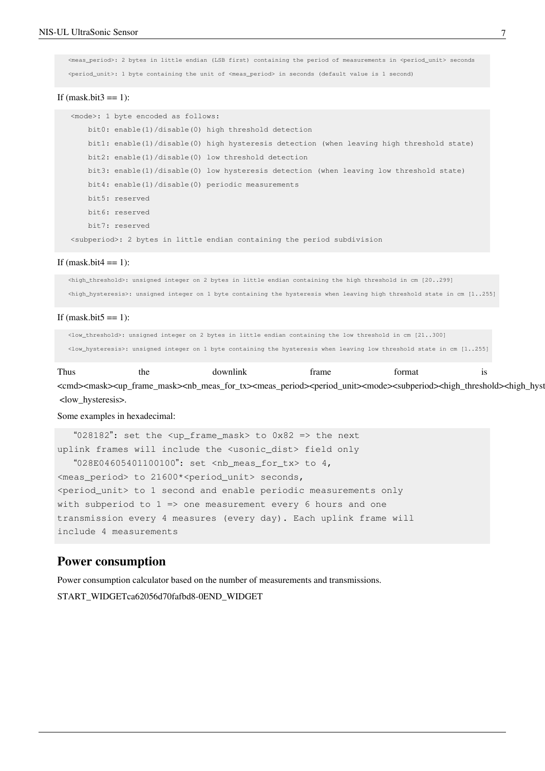<meas\_period>: 2 bytes in little endian (LSB first) containing the period of measurements in <period\_unit> seconds <period\_unit>: 1 byte containing the unit of <meas\_period> in seconds (default value is 1 second)

#### If  $(mask.bit3 == 1)$ :

 <mode>: 1 byte encoded as follows: bit0: enable(1)/disable(0) high threshold detection bit1: enable(1)/disable(0) high hysteresis detection (when leaving high threshold state) bit2: enable(1)/disable(0) low threshold detection bit3: enable(1)/disable(0) low hysteresis detection (when leaving low threshold state) bit4: enable(1)/disable(0) periodic measurements bit5: reserved bit6: reserved bit7: reserved <subperiod>: 2 bytes in little endian containing the period subdivision

#### If (mask.bit $4 == 1$ ):

 <high\_threshold>: unsigned integer on 2 bytes in little endian containing the high threshold in cm [20..299] <high\_hysteresis>: unsigned integer on 1 byte containing the hysteresis when leaving high threshold state in cm [1..255]

#### If  $(mask.bit5 == 1)$ :

 <low\_threshold>: unsigned integer on 2 bytes in little endian containing the low threshold in cm [21..300] <low\_hysteresis>: unsigned integer on 1 byte containing the hysteresis when leaving low threshold state in cm [1..255]

Thus the downlink frame format is <cmd><mask><up\_frame\_mask><nb\_meas\_for\_tx><meas\_period><period\_unit><mode><subperiod><high\_threshold><high\_hysteresity <low\_hysteresis>.

### Some examples in hexadecimal:

 "028182": set the <up\_frame\_mask> to 0x82 => the next uplink frames will include the <usonic\_dist> field only "028E04605401100100": set <nb\_meas\_for\_tx> to 4, <meas\_period> to 21600\*<period\_unit> seconds, <period\_unit> to 1 second and enable periodic measurements only with subperiod to  $1 \Rightarrow$  one measurement every 6 hours and one transmission every 4 measures (every day). Each uplink frame will include 4 measurements

## **Power consumption**

Power consumption calculator based on the number of measurements and transmissions.

START\_WIDGETca62056d70fafbd8-0END\_WIDGET